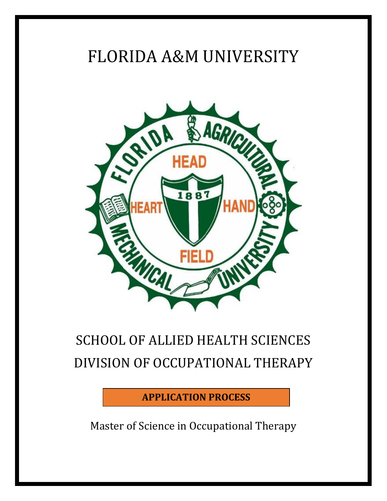# FLORIDA A&M UNIVERSITY



# SCHOOL OF ALLIED HEALTH SCIENCES DIVISION OF OCCUPATIONAL THERAPY

**APPLICATION PROCESS**

Master of Science in Occupational Therapy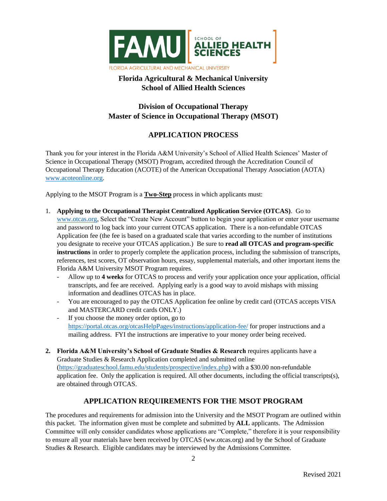

# **Florida Agricultural & Mechanical University School of Allied Health Sciences**

## **Division of Occupational Therapy Master of Science in Occupational Therapy (MSOT)**

## **APPLICATION PROCESS**

Thank you for your interest in the Florida A&M University's School of Allied Health Sciences' Master of Science in Occupational Therapy (MSOT) Program, accredited through the Accreditation Council of Occupational Therapy Education (ACOTE) of the American Occupational Therapy Association (AOTA) [www.acoteonline.org.](http://www.acoteonline.org/)

Applying to the MSOT Program is a **Two-Step** process in which applicants must:

- 1. **Applying to the Occupational Therapist Centralized Application Service (OTCAS)**. Go to [www.otcas.org,](http://www.otcas.org/) Select the "Create New Account" button to begin your application or enter your username and password to log back into your current OTCAS application. There is a non-refundable OTCAS Application fee (the fee is based on a graduated scale that varies according to the number of institutions you designate to receive your OTCAS application.) Be sure to **read all OTCAS and program-specific instructions** in order to properly complete the application process, including the submission of transcripts, references, test scores, OT observation hours, essay, supplemental materials, and other important items the Florida A&M University MSOT Program requires.
	- Allow up to **4 weeks** for OTCAS to process and verify your application once your application, official transcripts, and fee are received. Applying early is a good way to avoid mishaps with missing information and deadlines OTCAS has in place.
	- You are encouraged to pay the OTCAS Application fee online by credit card (OTCAS accepts VISA and MASTERCARD credit cards ONLY.)
	- If you choose the money order option, go to <https://portal.otcas.org/otcasHelpPages/instructions/application-fee/> for proper instructions and a mailing address. FYI the instructions are imperative to your money order being received.
- **2. Florida A&M University's School of Graduate Studies & Research** requires applicants have a Graduate Studies & Research Application completed and submitted online [\(https://graduateschool.famu.edu/students/prospective/index.php\)](https://graduateschool.famu.edu/students/prospective/index.php) with a \$30.00 non-refundable application fee. Only the application is required. All other documents, including the official transcripts(s), are obtained through OTCAS.

## **APPLICATION REQUIREMENTS FOR THE MSOT PROGRAM**

The procedures and requirements for admission into the University and the MSOT Program are outlined within this packet. The information given must be complete and submitted by **ALL** applicants. The Admission Committee will only consider candidates whose applications are "Complete," therefore it is your responsibility to ensure all your materials have been received by OTCAS (ww.otcas.org) and by the School of Graduate Studies & Research. Eligible candidates may be interviewed by the Admissions Committee.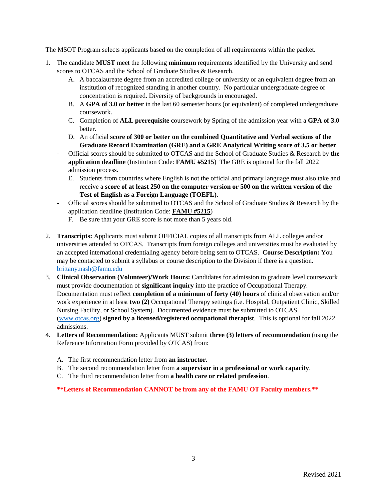The MSOT Program selects applicants based on the completion of all requirements within the packet.

- 1. The candidate **MUST** meet the following **minimum** requirements identified by the University and send scores to OTCAS and the School of Graduate Studies & Research.
	- A. A baccalaureate degree from an accredited college or university or an equivalent degree from an institution of recognized standing in another country. No particular undergraduate degree or concentration is required. Diversity of backgrounds in encouraged.
	- B. A **GPA of 3.0 or better** in the last 60 semester hours (or equivalent) of completed undergraduate coursework.
	- C. Completion of **ALL prerequisite** coursework by Spring of the admission year with a **GPA of 3.0** better.
	- D. An official **score of 300 or better on the combined Quantitative and Verbal sections of the Graduate Record Examination (GRE) and a GRE Analytical Writing score of 3.5 or better**.
	- Official scores should be submitted to OTCAS and the School of Graduate Studies & Research by **the application deadline** (Institution Code: **FAMU #5215**) The GRE is optional for the fall 2022 admission process.
		- E. Students from countries where English is not the official and primary language must also take and receive a **score of at least 250 on the computer version or 500 on the written version of the Test of English as a Foreign Language (TOEFL)**.
	- Official scores should be submitted to OTCAS and the School of Graduate Studies & Research by the application deadline (Institution Code: **FAMU #5215**)
		- F. Be sure that your GRE score is not more than 5 years old.
- 2. **Transcripts:** Applicants must submit OFFICIAL copies of all transcripts from ALL colleges and/or universities attended to OTCAS. Transcripts from foreign colleges and universities must be evaluated by an accepted international credentialing agency before being sent to OTCAS. **Course Description:** You may be contacted to submit a syllabus or course description to the Division if there is a question. [brittany.nash@famu.edu](http://brittany.nash@famu.edu)
- 3. **Clinical Observation (Volunteer)/Work Hours:** Candidates for admission to graduate level coursework must provide documentation of **significant inquiry** into the practice of Occupational Therapy. Documentation must reflect **completion of a minimum of forty (40) hours** of clinical observation and/or work experience in at least **two (2)** Occupational Therapy settings (i.e. Hospital, Outpatient Clinic, Skilled Nursing Facility, or School System). Documented evidence must be submitted to OTCAS [\(www.otcas.org\)](http://www.otcas.org/) **signed by a licensed/registered occupational therapist**. This is optional for fall 2022 admissions.
- 4. **Letters of Recommendation:** Applicants MUST submit **three (3) letters of recommendation** (using the Reference Information Form provided by OTCAS) from:
	- A. The first recommendation letter from **an instructor**.
	- B. The second recommendation letter from **a supervisor in a professional or work capacity**.
	- C. The third recommendation letter from **a health care or related profession**.

**\*\*Letters of Recommendation CANNOT be from any of the FAMU OT Faculty members.\*\***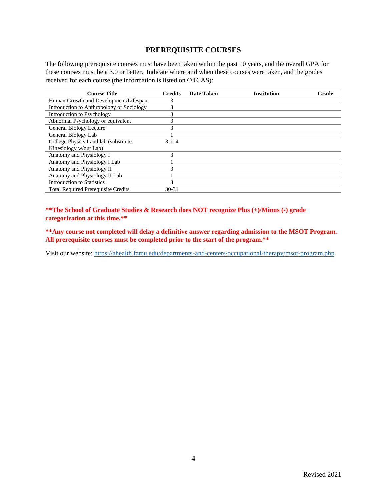### **PREREQUISITE COURSES**

The following prerequisite courses must have been taken within the past 10 years, and the overall GPA for these courses must be a 3.0 or better. Indicate where and when these courses were taken, and the grades received for each course (the information is listed on OTCAS):

| <b>Course Title</b>                        | <b>Credits</b> | Date Taken | <b>Institution</b> | Grade |
|--------------------------------------------|----------------|------------|--------------------|-------|
| Human Growth and Development/Lifespan      | 3              |            |                    |       |
| Introduction to Anthropology or Sociology  | 3              |            |                    |       |
| Introduction to Psychology                 | 3              |            |                    |       |
| Abnormal Psychology or equivalent          | 3              |            |                    |       |
| General Biology Lecture                    | 3              |            |                    |       |
| General Biology Lab                        |                |            |                    |       |
| College Physics I and lab (substitute:     | 3 or 4         |            |                    |       |
| Kinesiology w/out Lab)                     |                |            |                    |       |
| Anatomy and Physiology I                   | 3              |            |                    |       |
| Anatomy and Physiology I Lab               |                |            |                    |       |
| Anatomy and Physiology II                  | 3              |            |                    |       |
| Anatomy and Physiology II Lab              |                |            |                    |       |
| <b>Introduction to Statistics</b>          |                |            |                    |       |
| <b>Total Required Prerequisite Credits</b> | $30 - 31$      |            |                    |       |

**\*\*The School of Graduate Studies & Research does NOT recognize Plus (+)/Minus (-) grade categorization at this time.\*\***

**\*\*Any course not completed will delay a definitive answer regarding admission to the MSOT Program. All prerequisite courses must be completed prior to the start of the program.\*\***

Visit our website:<https://ahealth.famu.edu/departments-and-centers/occupational-therapy/msot-program.php>